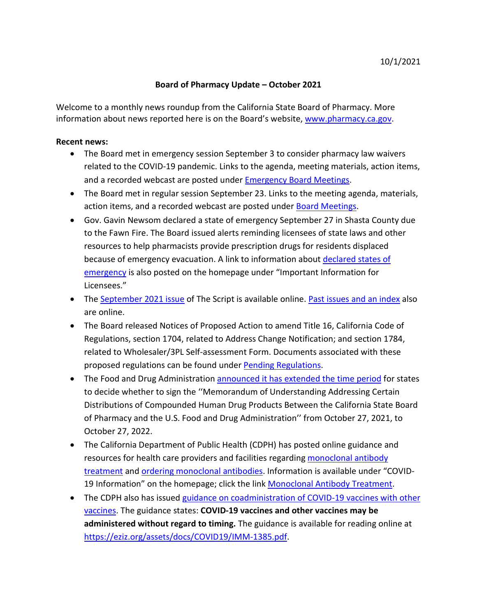## **Board of Pharmacy Update – October 2021**

information about news reported here is on the Board's website, [www.pharmacy.ca.gov.](http://www.pharmacy.ca.gov/) Welcome to a monthly news roundup from the California State Board of Pharmacy. More

## **Recent news:**

- The Board met in emergency session September 3 to consider pharmacy law waivers related to the COVID-19 pandemic. Links to the agenda, meeting materials, action items, and a recorded webcast are posted under [Emergency Board Meetings.](https://www.pharmacy.ca.gov/about/meetings_emergency.shtml)
- The Board met in regular session September 23. Links to the meeting agenda, materials, action items, and a recorded webcast are posted under [Board Meetings.](https://www.pharmacy.ca.gov/about/meetings_full.shtml)
- Gov. Gavin Newsom declared a state of emergency September 27 in Shasta County due to the Fawn Fire. The Board issued alerts reminding licensees of state laws and other resources to help pharmacists provide prescription drugs for residents displaced because of emergency evacuation. A link to information about [declared states of](https://www.pharmacy.ca.gov/licensees/declared_disasters.pdf) [emergency](https://www.pharmacy.ca.gov/licensees/declared_disasters.pdf) is also posted on the homepage under "Important Information for Licensees."
- The [September 2021 issue](https://www.pharmacy.ca.gov/publications/21_sep_script.pdf) of The Script is available online. [Past issues and an index](https://www.pharmacy.ca.gov/publications/script.shtml) also are online.
- The Board released Notices of Proposed Action to amend Title 16, California Code of Regulations, section 1704, related to Address Change Notification; and section 1784, related to Wholesaler/3PL Self-assessment Form. Documents associated with these proposed regulations can be found under [Pending Regulations.](https://www.pharmacy.ca.gov/laws_regs/pending_regs.shtml)
- The Food and Drug Administratio[n announced it has extended the time period](https://www.govinfo.gov/content/pkg/FR-2021-08-09/pdf/2021-16937.pdf) for states to decide whether to sign the ''Memorandum of Understanding Addressing Certain Distributions of Compounded Human Drug Products Between the California State Board of Pharmacy and the U.S. Food and Drug Administration'' from October 27, 2021, to October 27, 2022.
- The California Department of Public Health (CDPH) has posted online guidance and resources for health care providers and facilities regarding [monoclonal antibody](https://www.cdph.ca.gov/Programs/CID/DCDC/Pages/COVID-19/Monoclonal-Antibody-Treatment-Information-for-Providers-and-Facilities.aspx) [treatment](https://www.cdph.ca.gov/Programs/CID/DCDC/Pages/COVID-19/Monoclonal-Antibody-Treatment-Information-for-Providers-and-Facilities.aspx) and [ordering monoclonal antibodies.](https://www.cdph.ca.gov/Programs/CID/DCDC/Pages/COVID-19/monoclonal-allocation-distribution.aspx) Information is available under "COVID-19 Information" on the homepage; click the link [Monoclonal Antibody Treatment.](https://www.pharmacy.ca.gov/covid19/monoclonal_antibody_info.pdf)
- The CDPH also has issued [guidance on coadministration of COVID-19 vaccines with other](https://eziz.org/assets/docs/COVID19/IMM-1385.pdf) [vaccines.](https://eziz.org/assets/docs/COVID19/IMM-1385.pdf) The guidance states: **COVID-19 vaccines and other vaccines may be administered without regard to timing.** The guidance is available for reading online at [https://eziz.org/assets/docs/COVID19/IMM-1385.pdf.](https://eziz.org/assets/docs/COVID19/IMM-1385.pdf)